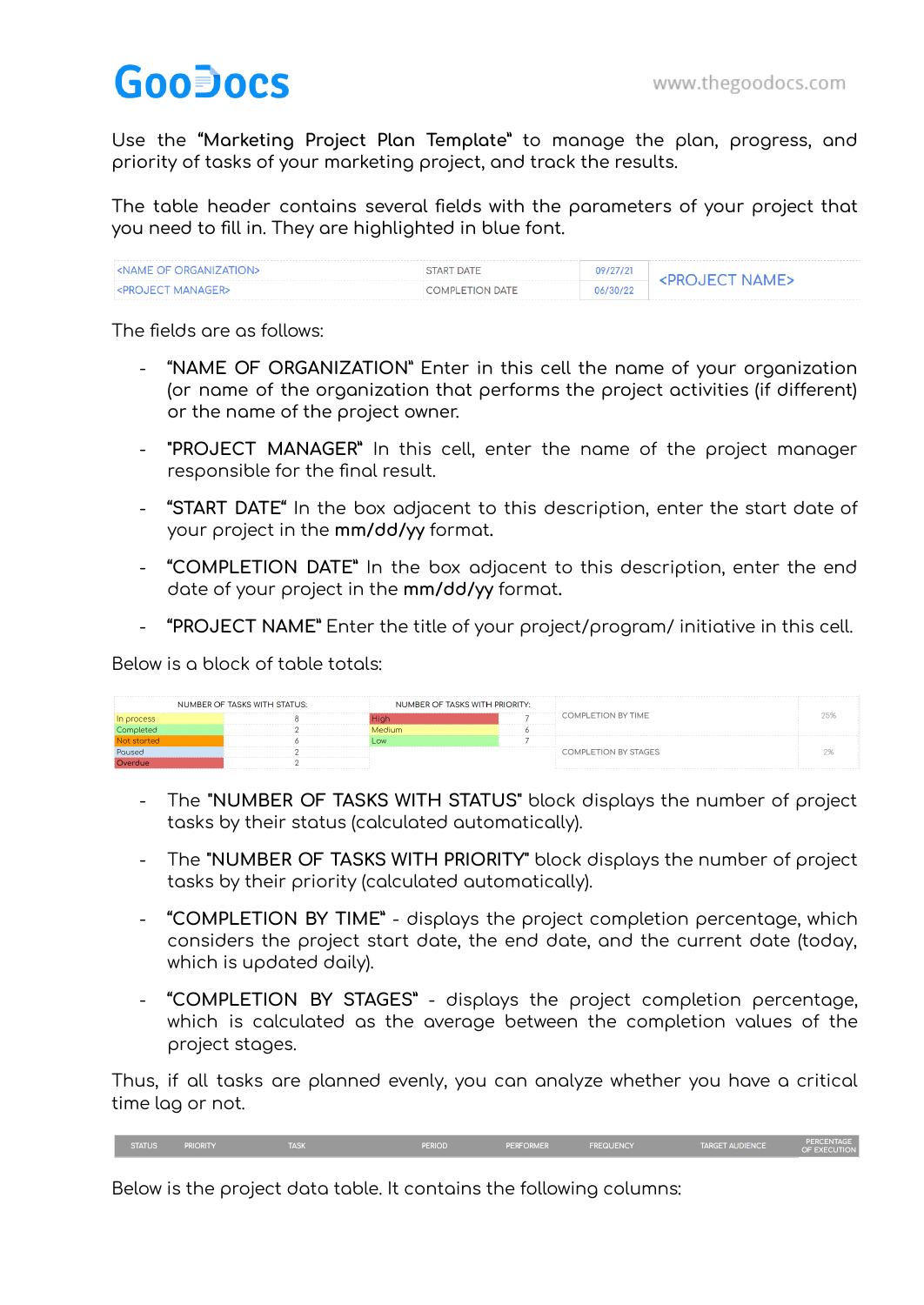## GooDocs

Use the **"Marketing Project Plan Template"** to manage the plan, progress, and priority of tasks of your marketing project, and track the results.

The table header contains several fields with the parameters of your project that you need to fill in. They are highlighted in blue font.

| $^{\circ}$ <name of="" organization=""></name>       | START DATE      | 09/27/21<br><b>NAME</b> |  |
|------------------------------------------------------|-----------------|-------------------------|--|
| $\blacktriangleright$ <project manager=""></project> | COMPLETION DATE | 06/30/22                |  |

The fields are as follows:

- "**NAME OF ORGANIZATION**" Enter in this cell the name of your organization (or name of the organization that performs the project activities (if different) or the name of the project owner.
- **"PROJECT MANAGER"** In this cell, enter the name of the project manager responsible for the final result.
- **"START DATE"** In the box adjacent to this description, enter the start date of your project in the **mm/dd/yy** format**.**
- **"COMPLETION DATE"** In the box adjacent to this description, enter the end date of your project in the **mm/dd/yy** format**.**
- **"PROJECT NAME"** Enter the title of your project/program/ initiative in this cell.

Below is a block of table totals:

|                                  | <b>NUMBER OF TASKS WITH STATUS:</b> | NUMBER OF TASKS WITH PRIORITY: |                     |                             |  |
|----------------------------------|-------------------------------------|--------------------------------|---------------------|-----------------------------|--|
|                                  |                                     |                                | ------------------- | <b>COMPLETION BY TIME</b>   |  |
| -------------------              |                                     |                                |                     |                             |  |
|                                  |                                     |                                |                     |                             |  |
| Poused<br>---------------------- |                                     |                                |                     | <b>COMPLETION BY STAGES</b> |  |
|                                  |                                     |                                |                     |                             |  |

- The **"NUMBER OF TASKS WITH STATUS"** block displays the number of project tasks by their status (calculated automatically).
- The **"NUMBER OF TASKS WITH PRIORITY"** block displays the number of project tasks by their priority (calculated automatically).
- **"COMPLETION BY TIME"** displays the project completion percentage, which considers the project start date, the end date, and the current date (today, which is updated daily).
- **"COMPLETION BY STAGES"** displays the project completion percentage, which is calculated as the average between the completion values of the project stages.

Thus, if all tasks are planned evenly, you can analyze whether you have a critical time lag or not.

Below is the project data table. It contains the following columns: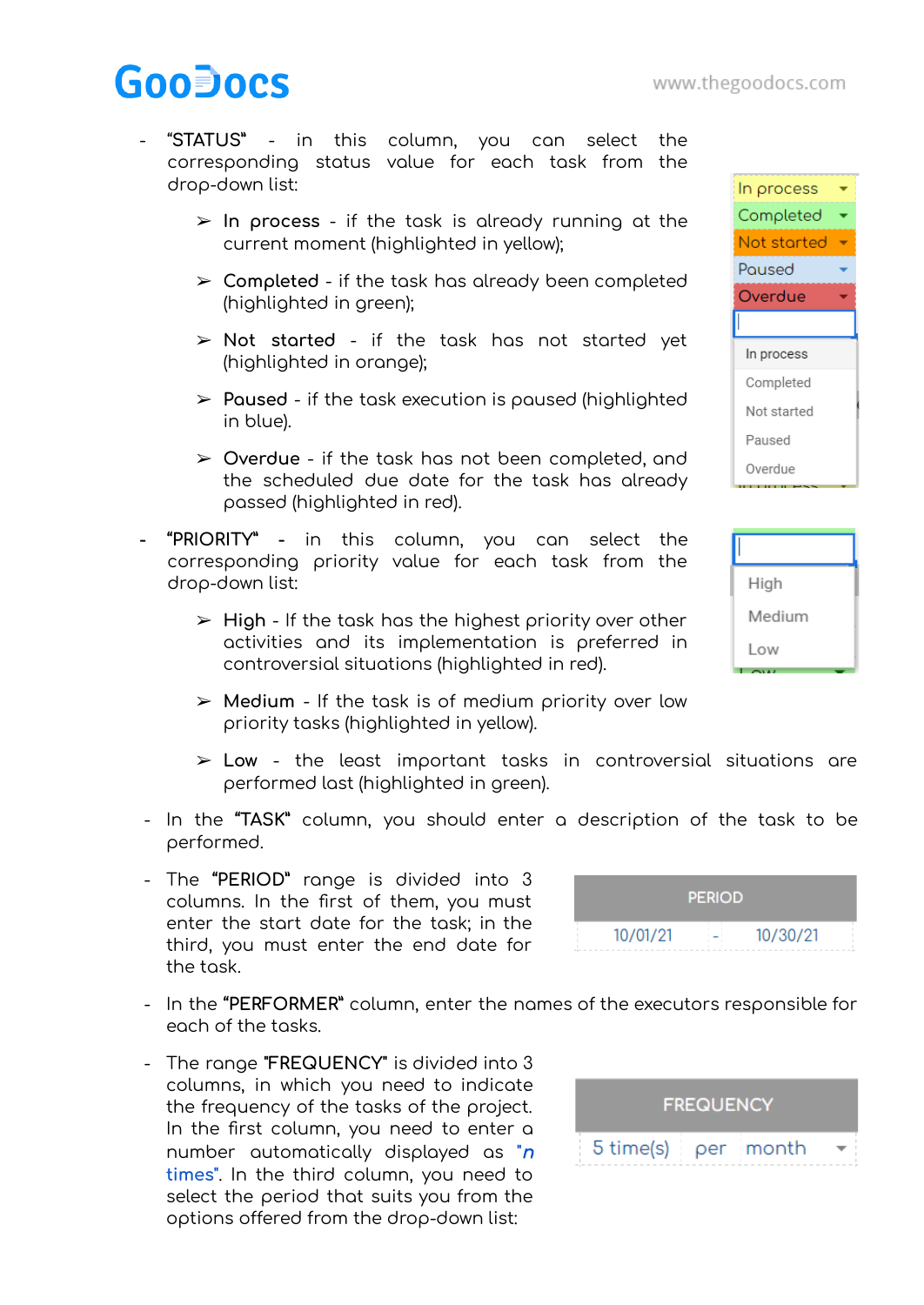## **GooDocs**

- "**STATUS"** in this column, you can select the corresponding status value for each task from the drop-down list:
	- ➢ **In process** if the task is already running at the current moment (highlighted in yellow);
	- ➢ **Completed** if the task has already been completed (highlighted in green);
	- ➢ **Not started** if the task has not started yet (highlighted in orange);
	- ➢ **Paused** if the task execution is paused (highlighted in blue).
	- ➢ **Overdue** if the task has not been completed, and the scheduled due date for the task has already passed (highlighted in red).
- **- "PRIORITY" -** in this column, you can select the corresponding priority value for each task from the drop-down list:
	- ➢ **High** If the task has the highest priority over other activities and its implementation is preferred in controversial situations (highlighted in red).
	- ➢ **Medium** If the task is of medium priority over low priority tasks (highlighted in yellow).
	- ➢ **Low** the least important tasks in controversial situations are performed last (highlighted in green).
- In the **"TASK"** column, you should enter a description of the task to be performed.
- The **"PERIOD"** range is divided into 3 columns. In the first of them, you must enter the start date for the task; in the third, you must enter the end date for the task.
- In the **"PERFORMER"** column, enter the names of the executors responsible for each of the tasks.
- The range **"FREQUENCY"** is divided into 3 columns, in which you need to indicate the frequency of the tasks of the project. In the first column, you need to enter a number automatically displayed as **"**<sup>n</sup> **times"**. In the third column, you need to select the period that suits you from the options offered from the drop-down list:







|          | <b>PERIOD</b> |          |  |
|----------|---------------|----------|--|
| 10/01/21 |               | 10/30/21 |  |